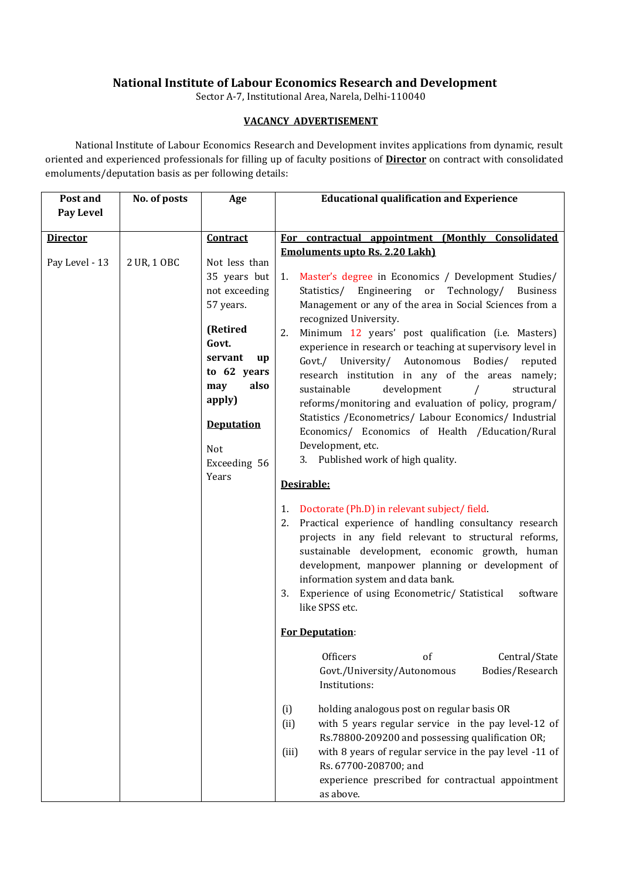## **National Institute of Labour Economics Research and Development**

Sector A-7, Institutional Area, Narela, Delhi-110040

## **VACANCY ADVERTISEMENT**

National Institute of Labour Economics Research and Development invites applications from dynamic, result oriented and experienced professionals for filling up of faculty positions of **Director** on contract with consolidated emoluments/deputation basis as per following details:

| Post and                          | No. of posts | Age                                                                                                                                                                                                               | <b>Educational qualification and Experience</b>                                                                                                                                                                                                                                                                                                                                                                                                                                                                                                                                                                                                                                                                                                                                                                                                                                                                                                                                                                                                                                                                                                                                                                                                                                                                                                                                                                                                                                                                                                                                                                                                                                                                     |
|-----------------------------------|--------------|-------------------------------------------------------------------------------------------------------------------------------------------------------------------------------------------------------------------|---------------------------------------------------------------------------------------------------------------------------------------------------------------------------------------------------------------------------------------------------------------------------------------------------------------------------------------------------------------------------------------------------------------------------------------------------------------------------------------------------------------------------------------------------------------------------------------------------------------------------------------------------------------------------------------------------------------------------------------------------------------------------------------------------------------------------------------------------------------------------------------------------------------------------------------------------------------------------------------------------------------------------------------------------------------------------------------------------------------------------------------------------------------------------------------------------------------------------------------------------------------------------------------------------------------------------------------------------------------------------------------------------------------------------------------------------------------------------------------------------------------------------------------------------------------------------------------------------------------------------------------------------------------------------------------------------------------------|
| <b>Pay Level</b>                  |              |                                                                                                                                                                                                                   |                                                                                                                                                                                                                                                                                                                                                                                                                                                                                                                                                                                                                                                                                                                                                                                                                                                                                                                                                                                                                                                                                                                                                                                                                                                                                                                                                                                                                                                                                                                                                                                                                                                                                                                     |
|                                   |              |                                                                                                                                                                                                                   |                                                                                                                                                                                                                                                                                                                                                                                                                                                                                                                                                                                                                                                                                                                                                                                                                                                                                                                                                                                                                                                                                                                                                                                                                                                                                                                                                                                                                                                                                                                                                                                                                                                                                                                     |
|                                   |              |                                                                                                                                                                                                                   |                                                                                                                                                                                                                                                                                                                                                                                                                                                                                                                                                                                                                                                                                                                                                                                                                                                                                                                                                                                                                                                                                                                                                                                                                                                                                                                                                                                                                                                                                                                                                                                                                                                                                                                     |
| <b>Director</b><br>Pay Level - 13 | 2 UR, 1 OBC  | Contract<br>Not less than<br>35 years but<br>not exceeding<br>57 years.<br>(Retired<br>Govt.<br>servant<br>up<br>to 62 years<br>also<br>may<br>apply)<br><b>Deputation</b><br><b>Not</b><br>Exceeding 56<br>Years | For contractual appointment (Monthly Consolidated<br><b>Emoluments upto Rs. 2.20 Lakh)</b><br>1. Master's degree in Economics / Development Studies/<br>Statistics/ Engineering or Technology/<br><b>Business</b><br>Management or any of the area in Social Sciences from a<br>recognized University.<br>Minimum 12 years' post qualification (i.e. Masters)<br>2.<br>experience in research or teaching at supervisory level in<br>Govt./ University/ Autonomous Bodies/ reputed<br>research institution in any of the areas namely;<br>development<br>sustainable<br>structural<br>$\prime$<br>reforms/monitoring and evaluation of policy, program/<br>Statistics / Econometrics/ Labour Economics/ Industrial<br>Economics/ Economics of Health / Education/Rural<br>Development, etc.<br>3. Published work of high quality.<br>Desirable:<br>1. Doctorate (Ph.D) in relevant subject/field.<br>Practical experience of handling consultancy research<br>2.<br>projects in any field relevant to structural reforms,<br>sustainable development, economic growth, human<br>development, manpower planning or development of<br>information system and data bank.<br>Experience of using Econometric/ Statistical<br>software<br>3.<br>like SPSS etc.<br><b>For Deputation:</b><br>Central/State<br>Officers<br>of<br>Govt./University/Autonomous<br>Bodies/Research<br>Institutions:<br>holding analogous post on regular basis OR<br>(i)<br>with 5 years regular service in the pay level-12 of<br>(ii)<br>Rs.78800-209200 and possessing qualification OR;<br>with 8 years of regular service in the pay level -11 of<br>(iii)<br>Rs. 67700-208700; and<br>experience prescribed for contractual appointment |
|                                   |              |                                                                                                                                                                                                                   | as above.                                                                                                                                                                                                                                                                                                                                                                                                                                                                                                                                                                                                                                                                                                                                                                                                                                                                                                                                                                                                                                                                                                                                                                                                                                                                                                                                                                                                                                                                                                                                                                                                                                                                                                           |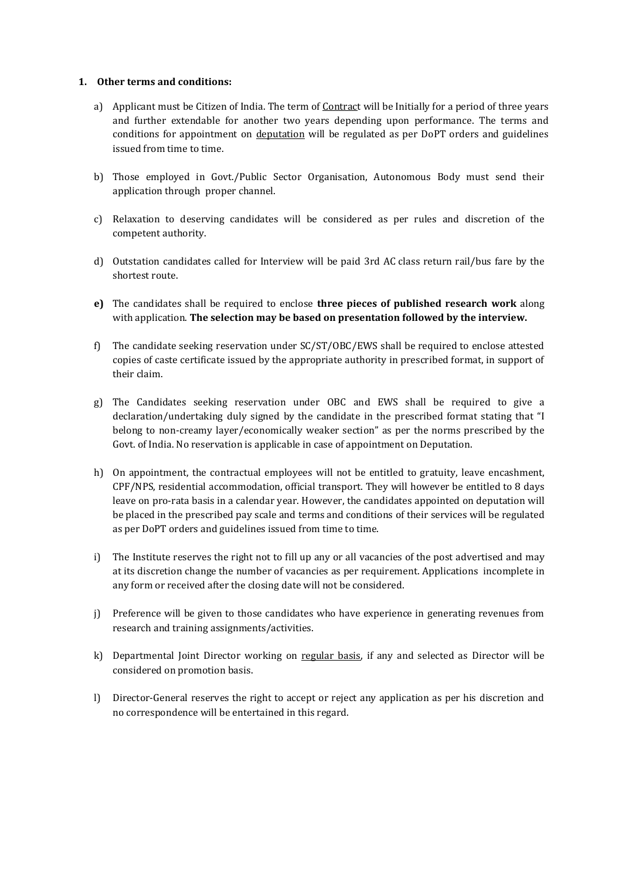## **1. Other terms and conditions:**

- a) Applicant must be Citizen of India. The term of Contract will be Initially for a period of three years and further extendable for another two years depending upon performance. The terms and conditions for appointment on deputation will be regulated as per DoPT orders and guidelines issued from time to time.
- b) Those employed in Govt./Public Sector Organisation, Autonomous Body must send their application through proper channel.
- c) Relaxation to deserving candidates will be considered as per rules and discretion of the competent authority.
- d) Outstation candidates called for Interview will be paid 3rd AC class return rail/bus fare by the shortest route.
- **e)** The candidates shall be required to enclose **three pieces of published research work** along with application. **The selection may be based on presentation followed by the interview.**
- f) The candidate seeking reservation under SC/ST/OBC/EWS shall be required to enclose attested copies of caste certificate issued by the appropriate authority in prescribed format, in support of their claim.
- g) The Candidates seeking reservation under OBC and EWS shall be required to give a declaration/undertaking duly signed by the candidate in the prescribed format stating that "I belong to non-creamy layer/economically weaker section" as per the norms prescribed by the Govt. of India. No reservation is applicable in case of appointment on Deputation.
- h) On appointment, the contractual employees will not be entitled to gratuity, leave encashment, CPF/NPS, residential accommodation, official transport. They will however be entitled to 8 days leave on pro-rata basis in a calendar year. However, the candidates appointed on deputation will be placed in the prescribed pay scale and terms and conditions of their services will be regulated as per DoPT orders and guidelines issued from time to time.
- i) The Institute reserves the right not to fill up any or all vacancies of the post advertised and may at its discretion change the number of vacancies as per requirement. Applications incomplete in any form or received after the closing date will not be considered.
- j) Preference will be given to those candidates who have experience in generating revenues from research and training assignments/activities.
- k) Departmental Joint Director working on regular basis, if any and selected as Director will be considered on promotion basis.
- l) Director-General reserves the right to accept or reject any application as per his discretion and no correspondence will be entertained in this regard.